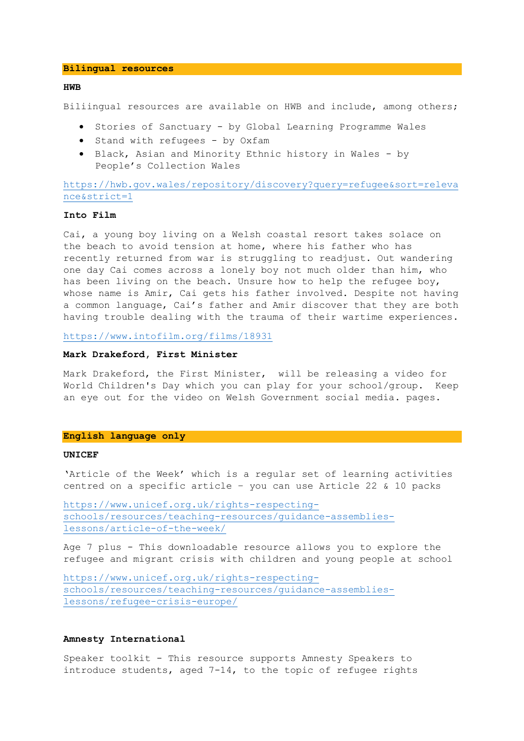#### **Bilingual resources**

### **HWB**

Biliingual resources are available on HWB and include, among others;

- Stories of Sanctuary by Global Learning Programme Wales
- Stand with refugees by Oxfam
- Black, Asian and Minority Ethnic history in Wales by People's Collection Wales

[https://hwb.gov.wales/repository/discovery?query=refugee&sort=releva](https://hwb.gov.wales/repository/discovery?query=refugee&sort=relevance&strict=1) [nce&strict=1](https://hwb.gov.wales/repository/discovery?query=refugee&sort=relevance&strict=1)

### **Into Film**

Cai, a young boy living on a Welsh coastal resort takes solace on the beach to avoid tension at home, where his father who has recently returned from war is struggling to readjust. Out wandering one day Cai comes across a lonely boy not much older than him, who has been living on the beach. Unsure how to help the refugee boy, whose name is Amir, Cai gets his father involved. Despite not having a common language, Cai's father and Amir discover that they are both having trouble dealing with the trauma of their wartime experiences.

<https://www.intofilm.org/films/18931>

## **Mark Drakeford, First Minister**

Mark Drakeford, the First Minister, will be releasing a video for World Children's Day which you can play for your school/group. Keep an eye out for the video on Welsh Government social media. pages.

#### **English language only**

## **UNICEF**

'Article of the Week' which is a regular set of learning activities centred on a specific article – you can use Article 22 & 10 packs

[https://www.unicef.org.uk/rights-respecting](https://www.unicef.org.uk/rights-respecting-schools/resources/teaching-resources/guidance-assemblies-lessons/article-of-the-week/)[schools/resources/teaching-resources/guidance-assemblies](https://www.unicef.org.uk/rights-respecting-schools/resources/teaching-resources/guidance-assemblies-lessons/article-of-the-week/)[lessons/article-of-the-week/](https://www.unicef.org.uk/rights-respecting-schools/resources/teaching-resources/guidance-assemblies-lessons/article-of-the-week/)

Age 7 plus - This downloadable resource allows you to explore the refugee and migrant crisis with children and young people at school

[https://www.unicef.org.uk/rights-respecting](https://www.unicef.org.uk/rights-respecting-schools/resources/teaching-resources/guidance-assemblies-lessons/refugee-crisis-europe/)[schools/resources/teaching-resources/guidance-assemblies](https://www.unicef.org.uk/rights-respecting-schools/resources/teaching-resources/guidance-assemblies-lessons/refugee-crisis-europe/)[lessons/refugee-crisis-europe/](https://www.unicef.org.uk/rights-respecting-schools/resources/teaching-resources/guidance-assemblies-lessons/refugee-crisis-europe/)

#### **Amnesty International**

Speaker toolkit - This resource supports Amnesty Speakers to introduce students, aged 7-14, to the topic of refugee rights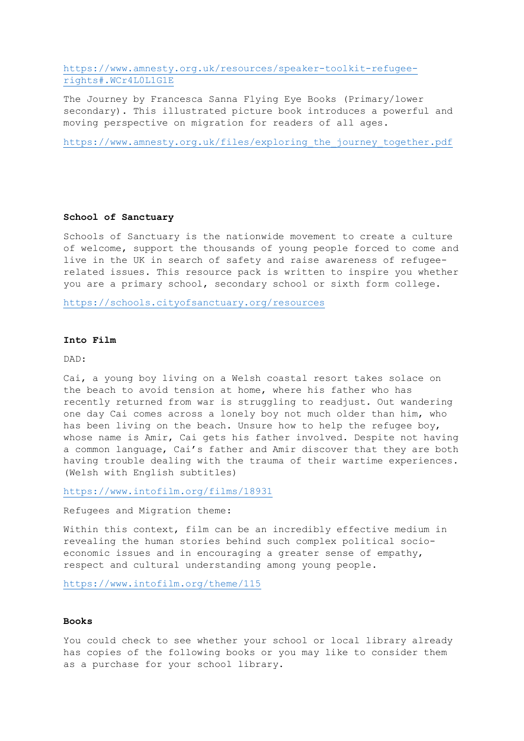[https://www.amnesty.org.uk/resources/speaker-toolkit-refugee](https://www.amnesty.org.uk/resources/speaker-toolkit-refugee-rights#.WCr4L0L1G1E)[rights#.WCr4L0L1G1E](https://www.amnesty.org.uk/resources/speaker-toolkit-refugee-rights#.WCr4L0L1G1E)

The Journey by Francesca Sanna Flying Eye Books (Primary/lower secondary). This illustrated picture book introduces a powerful and moving perspective on migration for readers of all ages.

[https://www.amnesty.org.uk/files/exploring\\_the\\_journey\\_together.pdf](https://www.amnesty.org.uk/files/exploring_the_journey_together.pdf)

# **School of Sanctuary**

Schools of Sanctuary is the nationwide movement to create a culture of welcome, support the thousands of young people forced to come and live in the UK in search of safety and raise awareness of refugeerelated issues. This resource pack is written to inspire you whether you are a primary school, secondary school or sixth form college.

<https://schools.cityofsanctuary.org/resources>

#### **Into Film**

DAD:

Cai, a young boy living on a Welsh coastal resort takes solace on the beach to avoid tension at home, where his father who has recently returned from war is struggling to readjust. Out wandering one day Cai comes across a lonely boy not much older than him, who has been living on the beach. Unsure how to help the refugee boy, whose name is Amir, Cai gets his father involved. Despite not having a common language, Cai's father and Amir discover that they are both having trouble dealing with the trauma of their wartime experiences. (Welsh with English subtitles)

<https://www.intofilm.org/films/18931>

Refugees and Migration theme:

Within this context, film can be an incredibly effective medium in revealing the human stories behind such complex political socioeconomic issues and in encouraging a greater sense of empathy, respect and cultural understanding among young people.

<https://www.intofilm.org/theme/115>

### **Books**

You could check to see whether your school or local library already has copies of the following books or you may like to consider them as a purchase for your school library.